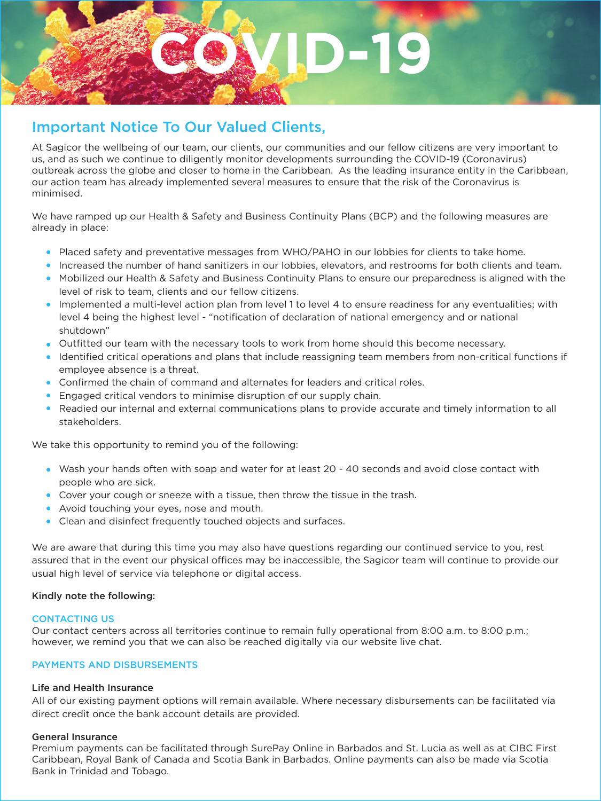

# Important Notice To Our Valued Clients,

At Sagicor the wellbeing of our team, our clients, our communities and our fellow citizens are very important to us, and as such we continue to diligently monitor developments surrounding the COVID-19 (Coronavirus) outbreak across the globe and closer to home in the Caribbean. As the leading insurance entity in the Caribbean, our action team has already implemented several measures to ensure that the risk of the Coronavirus is minimised.

We have ramped up our Health & Safety and Business Continuity Plans (BCP) and the following measures are already in place:

- Placed safety and preventative messages from WHO/PAHO in our lobbies for clients to take home.
- Increased the number of hand sanitizers in our lobbies, elevators, and restrooms for both clients and team.
- Mobilized our Health & Safety and Business Continuity Plans to ensure our preparedness is aligned with the level of risk to team, clients and our fellow citizens.
- Implemented a multi-level action plan from level 1 to level 4 to ensure readiness for any eventualities; with level 4 being the highest level - "notification of declaration of national emergency and or national shutdown"
- Outfitted our team with the necessary tools to work from home should this become necessary.
- Identified critical operations and plans that include reassigning team members from non-critical functions if employee absence is a threat.
- Confirmed the chain of command and alternates for leaders and critical roles.
- Engaged critical vendors to minimise disruption of our supply chain.
- Readied our internal and external communications plans to provide accurate and timely information to all stakeholders.

We take this opportunity to remind you of the following:

- Wash your hands often with soap and water for at least 20 40 seconds and avoid close contact with people who are sick.
- Cover your cough or sneeze with a tissue, then throw the tissue in the trash.
- Avoid touching your eyes, nose and mouth.
- Clean and disinfect frequently touched objects and surfaces.

We are aware that during this time you may also have questions regarding our continued service to you, rest assured that in the event our physical offices may be inaccessible, the Sagicor team will continue to provide our usual high level of service via telephone or digital access.

#### Kindly note the following:

#### CONTACTING US

Our contact centers across all territories continue to remain fully operational from 8:00 a.m. to 8:00 p.m.; however, we remind you that we can also be reached digitally via our website live chat.

# PAYMENTS AND DISBURSEMENTS

#### Life and Health Insurance

All of our existing payment options will remain available. Where necessary disbursements can be facilitated via direct credit once the bank account details are provided.

#### General Insurance

Premium payments can be facilitated through SurePay Online in Barbados and St. Lucia as well as at CIBC First Caribbean, Royal Bank of Canada and Scotia Bank in Barbados. Online payments can also be made via Scotia Bank in Trinidad and Tobago.